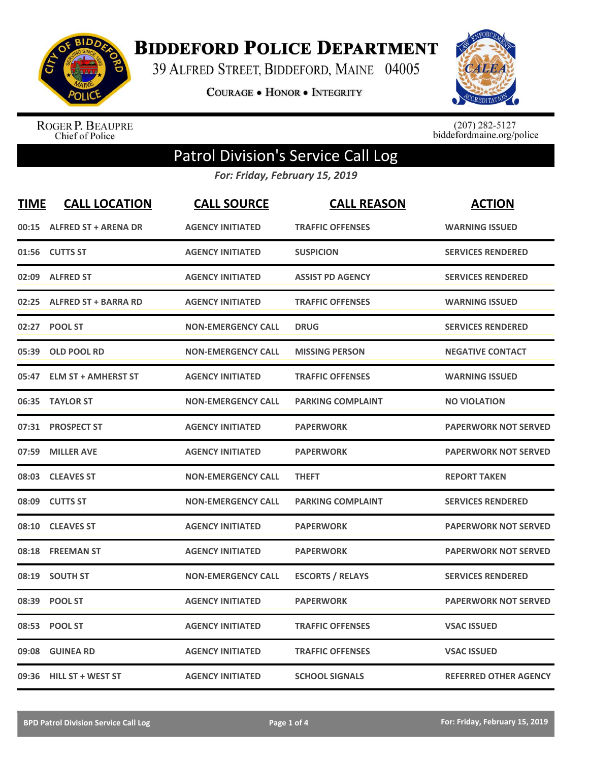

**BIDDEFORD POLICE DEPARTMENT** 

39 ALFRED STREET, BIDDEFORD, MAINE 04005

**COURAGE . HONOR . INTEGRITY** 



ROGER P. BEAUPRE<br>Chief of Police

 $(207)$  282-5127<br>biddefordmaine.org/police

## Patrol Division's Service Call Log

*For: Friday, February 15, 2019*

| <u>TIME</u> | <b>CALL LOCATION</b>        | <b>CALL SOURCE</b>        | <b>CALL REASON</b>       | <b>ACTION</b>                |
|-------------|-----------------------------|---------------------------|--------------------------|------------------------------|
| 00:15       | <b>ALFRED ST + ARENA DR</b> | <b>AGENCY INITIATED</b>   | <b>TRAFFIC OFFENSES</b>  | <b>WARNING ISSUED</b>        |
| 01:56       | <b>CUTTS ST</b>             | <b>AGENCY INITIATED</b>   | <b>SUSPICION</b>         | <b>SERVICES RENDERED</b>     |
| 02:09       | <b>ALFRED ST</b>            | <b>AGENCY INITIATED</b>   | <b>ASSIST PD AGENCY</b>  | <b>SERVICES RENDERED</b>     |
| 02:25       | <b>ALFRED ST + BARRA RD</b> | <b>AGENCY INITIATED</b>   | <b>TRAFFIC OFFENSES</b>  | <b>WARNING ISSUED</b>        |
| 02:27       | <b>POOL ST</b>              | <b>NON-EMERGENCY CALL</b> | <b>DRUG</b>              | <b>SERVICES RENDERED</b>     |
| 05:39       | <b>OLD POOL RD</b>          | <b>NON-EMERGENCY CALL</b> | <b>MISSING PERSON</b>    | <b>NEGATIVE CONTACT</b>      |
| 05:47       | <b>ELM ST + AMHERST ST</b>  | <b>AGENCY INITIATED</b>   | <b>TRAFFIC OFFENSES</b>  | <b>WARNING ISSUED</b>        |
| 06:35       | <b>TAYLOR ST</b>            | <b>NON-EMERGENCY CALL</b> | <b>PARKING COMPLAINT</b> | <b>NO VIOLATION</b>          |
| 07:31       | <b>PROSPECT ST</b>          | <b>AGENCY INITIATED</b>   | <b>PAPERWORK</b>         | <b>PAPERWORK NOT SERVED</b>  |
| 07:59       | <b>MILLER AVE</b>           | <b>AGENCY INITIATED</b>   | <b>PAPERWORK</b>         | <b>PAPERWORK NOT SERVED</b>  |
| 08:03       | <b>CLEAVES ST</b>           | <b>NON-EMERGENCY CALL</b> | <b>THEFT</b>             | <b>REPORT TAKEN</b>          |
| 08:09       | <b>CUTTS ST</b>             | <b>NON-EMERGENCY CALL</b> | <b>PARKING COMPLAINT</b> | <b>SERVICES RENDERED</b>     |
| 08:10       | <b>CLEAVES ST</b>           | <b>AGENCY INITIATED</b>   | <b>PAPERWORK</b>         | <b>PAPERWORK NOT SERVED</b>  |
| 08:18       | <b>FREEMAN ST</b>           | <b>AGENCY INITIATED</b>   | <b>PAPERWORK</b>         | <b>PAPERWORK NOT SERVED</b>  |
| 08:19       | <b>SOUTH ST</b>             | <b>NON-EMERGENCY CALL</b> | <b>ESCORTS / RELAYS</b>  | <b>SERVICES RENDERED</b>     |
| 08:39       | <b>POOL ST</b>              | <b>AGENCY INITIATED</b>   | <b>PAPERWORK</b>         | <b>PAPERWORK NOT SERVED</b>  |
| 08:53       | <b>POOL ST</b>              | <b>AGENCY INITIATED</b>   | <b>TRAFFIC OFFENSES</b>  | <b>VSAC ISSUED</b>           |
| 09:08       | <b>GUINEA RD</b>            | <b>AGENCY INITIATED</b>   | <b>TRAFFIC OFFENSES</b>  | <b>VSAC ISSUED</b>           |
| 09:36       | <b>HILL ST + WEST ST</b>    | <b>AGENCY INITIATED</b>   | <b>SCHOOL SIGNALS</b>    | <b>REFERRED OTHER AGENCY</b> |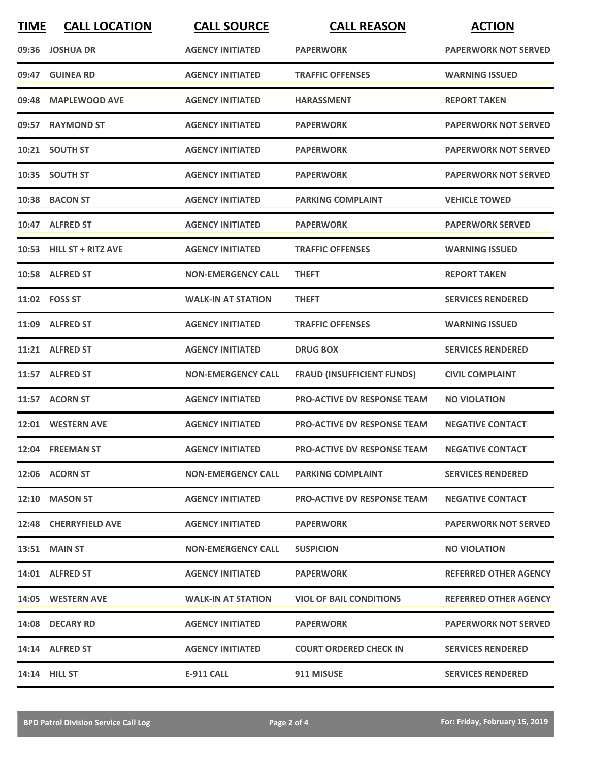| <b>TIME</b> | <b>CALL LOCATION</b>     | <b>CALL SOURCE</b>        | <b>CALL REASON</b>                 | <b>ACTION</b>                |
|-------------|--------------------------|---------------------------|------------------------------------|------------------------------|
|             | 09:36 JOSHUA DR          | <b>AGENCY INITIATED</b>   | <b>PAPERWORK</b>                   | <b>PAPERWORK NOT SERVED</b>  |
| 09:47       | <b>GUINEA RD</b>         | <b>AGENCY INITIATED</b>   | <b>TRAFFIC OFFENSES</b>            | <b>WARNING ISSUED</b>        |
|             | 09:48 MAPLEWOOD AVE      | <b>AGENCY INITIATED</b>   | <b>HARASSMENT</b>                  | <b>REPORT TAKEN</b>          |
|             | 09:57 RAYMOND ST         | <b>AGENCY INITIATED</b>   | <b>PAPERWORK</b>                   | <b>PAPERWORK NOT SERVED</b>  |
|             | 10:21 SOUTH ST           | <b>AGENCY INITIATED</b>   | <b>PAPERWORK</b>                   | <b>PAPERWORK NOT SERVED</b>  |
|             | 10:35 SOUTH ST           | <b>AGENCY INITIATED</b>   | <b>PAPERWORK</b>                   | <b>PAPERWORK NOT SERVED</b>  |
|             | 10:38 BACON ST           | <b>AGENCY INITIATED</b>   | <b>PARKING COMPLAINT</b>           | <b>VEHICLE TOWED</b>         |
|             | 10:47 ALFRED ST          | <b>AGENCY INITIATED</b>   | <b>PAPERWORK</b>                   | <b>PAPERWORK SERVED</b>      |
|             | 10:53 HILL ST + RITZ AVE | <b>AGENCY INITIATED</b>   | <b>TRAFFIC OFFENSES</b>            | <b>WARNING ISSUED</b>        |
|             | 10:58 ALFRED ST          | <b>NON-EMERGENCY CALL</b> | <b>THEFT</b>                       | <b>REPORT TAKEN</b>          |
|             | 11:02    FOSS ST         | <b>WALK-IN AT STATION</b> | <b>THEFT</b>                       | <b>SERVICES RENDERED</b>     |
|             | 11:09 ALFRED ST          | <b>AGENCY INITIATED</b>   | <b>TRAFFIC OFFENSES</b>            | <b>WARNING ISSUED</b>        |
|             | 11:21 ALFRED ST          | <b>AGENCY INITIATED</b>   | <b>DRUG BOX</b>                    | <b>SERVICES RENDERED</b>     |
|             | 11:57 ALFRED ST          | <b>NON-EMERGENCY CALL</b> | <b>FRAUD (INSUFFICIENT FUNDS)</b>  | <b>CIVIL COMPLAINT</b>       |
|             | 11:57 ACORN ST           | <b>AGENCY INITIATED</b>   | <b>PRO-ACTIVE DV RESPONSE TEAM</b> | <b>NO VIOLATION</b>          |
|             | 12:01 WESTERN AVE        | <b>AGENCY INITIATED</b>   | <b>PRO-ACTIVE DV RESPONSE TEAM</b> | <b>NEGATIVE CONTACT</b>      |
|             | 12:04 FREEMAN ST         | <b>AGENCY INITIATED</b>   | <b>PRO-ACTIVE DV RESPONSE TEAM</b> | <b>NEGATIVE CONTACT</b>      |
|             | 12:06 ACORN ST           | <b>NON-EMERGENCY CALL</b> | <b>PARKING COMPLAINT</b>           | <b>SERVICES RENDERED</b>     |
|             | 12:10 MASON ST           | <b>AGENCY INITIATED</b>   | <b>PRO-ACTIVE DV RESPONSE TEAM</b> | <b>NEGATIVE CONTACT</b>      |
|             | 12:48 CHERRYFIELD AVE    | <b>AGENCY INITIATED</b>   | <b>PAPERWORK</b>                   | <b>PAPERWORK NOT SERVED</b>  |
|             | <b>13:51 MAIN ST</b>     | <b>NON-EMERGENCY CALL</b> | <b>SUSPICION</b>                   | <b>NO VIOLATION</b>          |
|             | 14:01 ALFRED ST          | <b>AGENCY INITIATED</b>   | <b>PAPERWORK</b>                   | <b>REFERRED OTHER AGENCY</b> |
|             | 14:05 WESTERN AVE        | <b>WALK-IN AT STATION</b> | <b>VIOL OF BAIL CONDITIONS</b>     | <b>REFERRED OTHER AGENCY</b> |
|             | 14:08 DECARY RD          | <b>AGENCY INITIATED</b>   | <b>PAPERWORK</b>                   | <b>PAPERWORK NOT SERVED</b>  |
|             | 14:14 ALFRED ST          | <b>AGENCY INITIATED</b>   | <b>COURT ORDERED CHECK IN</b>      | <b>SERVICES RENDERED</b>     |
|             | 14:14 HILL ST            | <b>E-911 CALL</b>         | 911 MISUSE                         | <b>SERVICES RENDERED</b>     |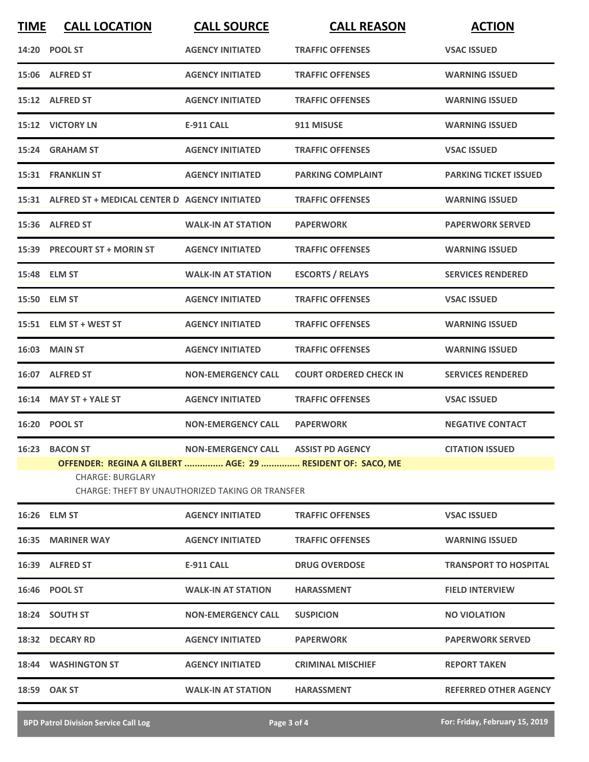| <b>TIME</b> | <b>CALL LOCATION</b>                                                                                    | <b>CALL SOURCE</b>                                      | <b>CALL REASON</b>            | <b>ACTION</b>                |
|-------------|---------------------------------------------------------------------------------------------------------|---------------------------------------------------------|-------------------------------|------------------------------|
|             | 14:20 POOL ST                                                                                           | <b>AGENCY INITIATED</b>                                 | <b>TRAFFIC OFFENSES</b>       | <b>VSAC ISSUED</b>           |
|             | 15:06 ALFRED ST                                                                                         | <b>AGENCY INITIATED</b>                                 | <b>TRAFFIC OFFENSES</b>       | <b>WARNING ISSUED</b>        |
|             | 15:12 ALFRED ST                                                                                         | <b>AGENCY INITIATED</b>                                 | <b>TRAFFIC OFFENSES</b>       | <b>WARNING ISSUED</b>        |
|             | 15:12 VICTORY LN                                                                                        | <b>E-911 CALL</b>                                       | 911 MISUSE                    | <b>WARNING ISSUED</b>        |
|             | 15:24 GRAHAM ST                                                                                         | <b>AGENCY INITIATED</b>                                 | <b>TRAFFIC OFFENSES</b>       | <b>VSAC ISSUED</b>           |
|             | 15:31 FRANKLIN ST                                                                                       | <b>AGENCY INITIATED</b>                                 | <b>PARKING COMPLAINT</b>      | <b>PARKING TICKET ISSUED</b> |
|             | 15:31 ALFRED ST + MEDICAL CENTER D AGENCY INITIATED                                                     |                                                         | <b>TRAFFIC OFFENSES</b>       | <b>WARNING ISSUED</b>        |
|             | 15:36 ALFRED ST                                                                                         | <b>WALK-IN AT STATION</b>                               | <b>PAPERWORK</b>              | <b>PAPERWORK SERVED</b>      |
|             | 15:39 PRECOURT ST + MORIN ST                                                                            | <b>AGENCY INITIATED</b>                                 | <b>TRAFFIC OFFENSES</b>       | <b>WARNING ISSUED</b>        |
|             | 15:48 ELM ST                                                                                            | <b>WALK-IN AT STATION</b>                               | <b>ESCORTS / RELAYS</b>       | <b>SERVICES RENDERED</b>     |
|             | 15:50 ELM ST                                                                                            | <b>AGENCY INITIATED</b>                                 | <b>TRAFFIC OFFENSES</b>       | <b>VSAC ISSUED</b>           |
|             | 15:51 ELM ST + WEST ST                                                                                  | <b>AGENCY INITIATED</b>                                 | <b>TRAFFIC OFFENSES</b>       | <b>WARNING ISSUED</b>        |
|             | <b>16:03 MAIN ST</b>                                                                                    | <b>AGENCY INITIATED</b>                                 | <b>TRAFFIC OFFENSES</b>       | <b>WARNING ISSUED</b>        |
|             | 16:07 ALFRED ST                                                                                         | <b>NON-EMERGENCY CALL</b>                               | <b>COURT ORDERED CHECK IN</b> | <b>SERVICES RENDERED</b>     |
|             | 16:14 MAY ST + YALE ST                                                                                  | <b>AGENCY INITIATED</b>                                 | <b>TRAFFIC OFFENSES</b>       | <b>VSAC ISSUED</b>           |
|             | 16:20 POOL ST                                                                                           | <b>NON-EMERGENCY CALL</b>                               | <b>PAPERWORK</b>              | <b>NEGATIVE CONTACT</b>      |
|             | 16:23 BACON ST<br>OFFENDER: REGINA A GILBERT  AGE: 29  RESIDENT OF: SACO, ME<br><b>CHARGE: BURGLARY</b> | NON-EMERGENCY CALL ASSIST PD AGENCY                     |                               | <b>CITATION ISSUED</b>       |
|             |                                                                                                         | <b>CHARGE: THEFT BY UNAUTHORIZED TAKING OR TRANSFER</b> |                               |                              |
|             | 16:26 ELM ST                                                                                            | <b>AGENCY INITIATED</b>                                 | <b>TRAFFIC OFFENSES</b>       | <b>VSAC ISSUED</b>           |
|             | <b>16:35 MARINER WAY</b>                                                                                | <b>AGENCY INITIATED</b>                                 | <b>TRAFFIC OFFENSES</b>       | <b>WARNING ISSUED</b>        |
|             | 16:39 ALFRED ST                                                                                         | E-911 CALL                                              | <b>DRUG OVERDOSE</b>          | <b>TRANSPORT TO HOSPITAL</b> |
|             | 16:46 POOL ST                                                                                           | <b>WALK-IN AT STATION</b>                               | <b>HARASSMENT</b>             | <b>FIELD INTERVIEW</b>       |
|             | 18:24 SOUTH ST                                                                                          | <b>NON-EMERGENCY CALL</b>                               | <b>SUSPICION</b>              | <b>NO VIOLATION</b>          |
|             | 18:32 DECARY RD                                                                                         | <b>AGENCY INITIATED</b>                                 | <b>PAPERWORK</b>              | <b>PAPERWORK SERVED</b>      |
|             | 18:44 WASHINGTON ST                                                                                     | <b>AGENCY INITIATED</b>                                 | <b>CRIMINAL MISCHIEF</b>      | <b>REPORT TAKEN</b>          |
|             | 18:59 OAK ST                                                                                            | <b>WALK-IN AT STATION</b>                               | <b>HARASSMENT</b>             | <b>REFERRED OTHER AGENCY</b> |
|             |                                                                                                         |                                                         |                               |                              |